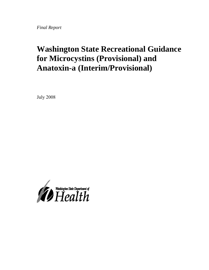*Final Report* 

# **Washington State Recreational Guidance for Microcystins (Provisional) and Anatoxin-a (Interim/Provisional)**

July 2008

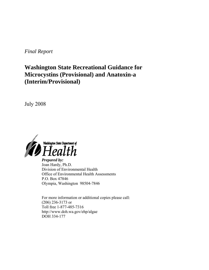*Final Report*

## **Washington State Recreational Guidance for Microcystins (Provisional) and Anatoxin-a (Interim/Provisional)**

July 2008



*Prepared by:*  Joan Hardy, Ph.D. Division of Environmental Health Office of Environmental Health Assessments P.O. Box 47846 Olympia, Washington 98504-7846

For more information or additional copies please call: (206) 236-3173 or Toll free 1-877-485-7316 http://www.doh.wa.gov/ehp/algae DOH 334-177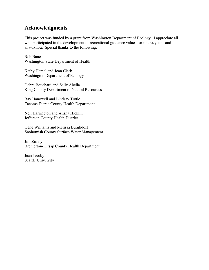## **Acknowledgments**

This project was funded by a grant from Washington Department of Ecology. I appreciate all who participated in the development of recreational guidance values for microcystins and anatoxin-a. Special thanks to the following:

Rob Banes Washington State Department of Health

Kathy Hamel and Joan Clark Washington Department of Ecology

Debra Bouchard and Sally Abella King County Department of Natural Resources

Ray Hanowell and Lindsay Tuttle Tacoma-Pierce County Health Department

Neil Harrington and Alisha Hicklin Jefferson County Health District

Gene Williams and Melissa Burghdoff Snohomish County Surface Water Management

Jim Zimny Bremerton-Kitsap County Health Department

Jean Jacoby Seattle University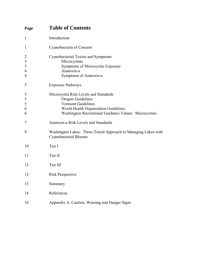| Page                                                                               | <b>Table of Contents</b>                                                                                                                                                                 |  |  |  |  |
|------------------------------------------------------------------------------------|------------------------------------------------------------------------------------------------------------------------------------------------------------------------------------------|--|--|--|--|
| $\mathbf{1}$                                                                       | Introduction                                                                                                                                                                             |  |  |  |  |
| $\mathbf{1}$                                                                       | Cyanobacteria of Concern                                                                                                                                                                 |  |  |  |  |
| $\overline{c}$<br>$\overline{\mathbf{3}}$<br>$\mathfrak{Z}$<br>$\overline{4}$<br>4 | Cyanobacterial Toxins and Symptoms<br>Microcystins<br>Symptoms of Microcystin Exposure<br>Anatoxin-a<br>Symptoms of Anatoxin-a                                                           |  |  |  |  |
| 5                                                                                  | <b>Exposure Pathways</b>                                                                                                                                                                 |  |  |  |  |
| 5<br>5<br>5<br>6<br>6                                                              | Microcystin Risk Levels and Standards<br>Oregon Guidelines<br><b>Vermont Guidelines</b><br>World Health Organization Guidelines<br>Washington Recreational Guidance Values: Microcystins |  |  |  |  |
| 7                                                                                  | Anatoxin-a Risk Levels and Standards                                                                                                                                                     |  |  |  |  |
| 9                                                                                  | Washington Lakes: Three-Tiered Approach to Managing Lakes with<br>Cyanobacterial Blooms                                                                                                  |  |  |  |  |
| 10                                                                                 | Tier I                                                                                                                                                                                   |  |  |  |  |
| 11                                                                                 | Tier II                                                                                                                                                                                  |  |  |  |  |
| 12                                                                                 | Tier III                                                                                                                                                                                 |  |  |  |  |
| 12                                                                                 | <b>Risk Perspective</b>                                                                                                                                                                  |  |  |  |  |
| 13                                                                                 | Summary                                                                                                                                                                                  |  |  |  |  |
| 14                                                                                 | References                                                                                                                                                                               |  |  |  |  |
| 16                                                                                 | Appendix A: Caution, Warning and Danger Signs                                                                                                                                            |  |  |  |  |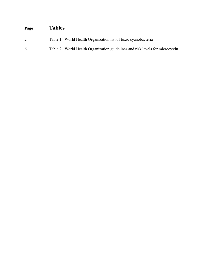# **Page Tables**

- 2 Table 1. World Health Organization list of toxic cyanobacteria
- 6 Table 2. World Health Organization guidelines and risk levels for microcystin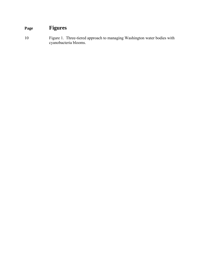# **Page Figures**

10 Figure 1. Three-tiered approach to managing Washington water bodies with cyanobacteria blooms.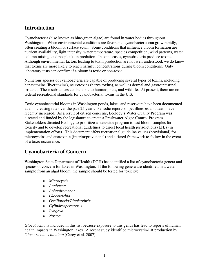## <span id="page-6-0"></span>**Introduction**

Cyanobacteria (also known as blue-green algae) are found in water bodies throughout Washington. When environmental conditions are favorable, cyanobacteria can grow rapidly, often creating a bloom or surface scum. Some conditions that influence bloom formation are nutrient availability, light intensity, water temperature, species competition, wind patterns, water column mixing, and zooplankton predation. In some cases, cyanobacteria produce toxins. Although environmental factors leading to toxin production are not well understood, we do know that toxins are more likely to reach harmful concentrations during bloom conditions. Only laboratory tests can confirm if a bloom is toxic or non-toxic.

Numerous species of cyanobacteria are capable of producing several types of toxins, including hepatotoxins (liver toxins), neurotoxins (nerve toxins), as well as dermal and gastrointestinal irritants. These substances can be toxic to humans, pets, and wildlife. At present, there are no federal recreational standards for cyanobacterial toxins in the U.S.

Toxic cyanobacterial blooms in Washington ponds, lakes, and reservoirs have been documented at an increasing rate over the past 25 years. Periodic reports of pet illnesses and death have recently increased. As a result of citizen concerns, Ecology's Water Quality Program was directed and funded by the legislature to create a Freshwater Algae Control Program. Stakeholders directed Ecology to prioritize a statewide program to test bloom samples for toxicity and to develop recreational guidelines to direct local health jurisdictions (LHJs) in implementation efforts. This document offers recreational guideline values (provisional) for microcystins and anatoxin-a (interim/provisional) and a tiered framework to follow in the event of a toxic occurrence.

## **Cyanobacteria of Concern**

Washington State Department of Health (DOH) has identified a list of cyanobacteria genera and species of concern for lakes in Washington. If the following genera are identified in a water sample from an algal bloom, the sample should be tested for toxicity:

- *Microcystis*
- *Anabaena*
- *Aphanizomenon*
- *Gloeotrichia*
- *Oscillatoria/Planktothrix*
- *Cylindrospermopsis*
- *Lyngbya*
- *Nostoc.*

*Gloeotrichia* is included in this list because exposure to this genus has lead to reports of human health impacts in Washington lakes. A recent study identified microcystin-LR production by *Gloeotrichia echinulata* (Carey et al. 2007).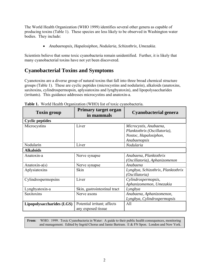<span id="page-7-0"></span>The World Health Organization (WHO 1999) identifies several other genera as capable of producing toxins (Table 1). These species are less likely to be observed in Washington water bodies. They include:

• *Anabaenopsis, Hapalosiphon, Nodularia, Schizothrix, Umezakia*.

Scientists believe that some toxic cyanobacteria remain unidentified. Further, it is likely that many cyanobacterial toxins have not yet been discovered.

## **Cyanobacterial Toxins and Symptoms**

Cyanotoxins are a diverse group of natural toxins that fall into three broad chemical structure groups (Table 1). These are cyclic peptides (microcystins and nodularin), alkaloids (anatoxins, saxitoxins, cylindrospermopsin, aplysiatoxins and lyngbyatoxin), and lipopolysaccharides (irritants). This guidance addresses microcystins and anatoxin-a.

| <b>Toxin group</b>        | Primary target organ<br>in mammals | Cyanobacterial genera              |  |  |  |  |  |  |
|---------------------------|------------------------------------|------------------------------------|--|--|--|--|--|--|
| <b>Cyclic peptides</b>    |                                    |                                    |  |  |  |  |  |  |
| Microcystins              | Liver                              | Microcystis, Anabaena,             |  |  |  |  |  |  |
|                           |                                    | Planktothrix (Oscillatoria),       |  |  |  |  |  |  |
|                           |                                    | Nostoc, Hapalosiphon,              |  |  |  |  |  |  |
|                           |                                    | Anabaenopsis                       |  |  |  |  |  |  |
| Nodularin                 | Liver                              | Nodularia                          |  |  |  |  |  |  |
| <b>Alkaloids</b>          |                                    |                                    |  |  |  |  |  |  |
| Anatoxin-a                | Nerve synapse                      | Anabaena, Planktothrix             |  |  |  |  |  |  |
|                           |                                    | (Oscillatoria), Aphanizomenon      |  |  |  |  |  |  |
| Anatoxin-a(s)             | Nerve synapse                      | Anabaena                           |  |  |  |  |  |  |
| Aplysiatoxins             | Skin                               | Lyngbya, Schizothrix, Planktothrix |  |  |  |  |  |  |
|                           |                                    | (Oscillatoria)                     |  |  |  |  |  |  |
| Cylindrospermopsins       | Liver                              | Cylindrospermopsis,                |  |  |  |  |  |  |
|                           |                                    | Aphanizomemon, Umezakia            |  |  |  |  |  |  |
| Lyngbyatoxin-a            | Skin, gastrointestinal tract       | Lyngbya                            |  |  |  |  |  |  |
| Saxitoxins                | Nerve axons                        | Anabaena, Aphanizomenon,           |  |  |  |  |  |  |
|                           |                                    | Lyngbya, Cylindrospermopsis        |  |  |  |  |  |  |
| Lipopolysaccharides (LGS) | Potential irritant; affects        | All                                |  |  |  |  |  |  |
|                           | any exposed tissue                 |                                    |  |  |  |  |  |  |

**Table 1.** World Health Organization (WHO) list of toxic cyanobacteria.

**From**: WHO. 1999. Toxic Cyanobacteria in Water: A guide to their public health consequences, monitoring and management. Edited by Ingrid Chorus and Jamie Bartram. E & FN Spon. London and New York.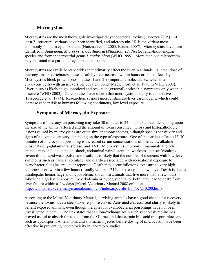### **Microcystins**

Microcystins are the most thoroughly investigated cyanobacterial toxins (Falconer 2005). At least 71 structural variants have been identified, and microcystin-LR is the variant most commonly found in cyanobacteria (Huisman et al. 2005, Botana 2007). Microcystins have been identified in *Anabaena, Microcystis*, *Oscillatoria* (*Planktothrix*), *Nostoc,* and *Anabaenopsis* species and from the terrestrial genus *Hapalosiphon* (WHO 1999). More than one microcystin may be found in a particular cyanobacteria strain.

Microcystins are cyclic heptapeptides that primarily affect the liver in animals. A lethal dose of microcystins in vertebrates causes death by liver necrosis within hours or up to a few days. Microcystins block protein phosphatases 1 and 2A (important molecular switches in all eukaryotic cells) with an irreversible covalent bond (MacKintosh et al. 1990 in WHO 2003). Liver injury is likely to go unnoticed and results in (external) noticeable symptoms only when it is severe (WHO 2003). Other studies have shown that microcystin toxicity is cumulative (Fitzgeorge et al. 1994). Researchers suspect microcystins are liver carcinogens, which could increase cancer risk to humans following continuous, low level exposure.

#### **Symptoms of Microcystin Exposure**

Symptoms of microcystin poisoning may take 30 minutes to 24 hours to appear, depending upon the size of the animal affected and the amount of toxin consumed. Gross and histopathologic lesions caused by microcystins are quite similar among species, although species sensitivity and signs of poisoning can vary depending on the type of exposure. One of the earliest effects (15-30 minutes) of microcystin poisoning is increased serum concentrations of bile acids, alkaline phosphatase, γ-glutamyltransferase, and AST. Microcystin symptoms in mammals and other animals may include jaundice, shock, abdominal pain/distention, weakness, nausea/vomiting, severe thirst, rapid/weak pulse, and death.It is likely that the number of incidents with low-level symptoms such as nausea, vomiting, and diarrhea associated with recreational exposure to cyanobacterial toxins are under reported. Death may occur following exposure to very high concentrations within a few hours (usually within 4-24 hours) or up to a few days. Death is due to intrahepatic hemorrhage and hypovolemic shock. In animals that live more than a few hours following high level exposure, hyperkalemia or hypoglycemia, or both, may lead to death from liver failure within a few days (Merck Veterinary Manual 2008 online at: [http://www.merckveterinarymanual.com/mvm/index.jsp?cfile=htm/bc/210200.htm\)](http://www.merckveterinarymanual.com/mvm/index.jsp?cfile=htm/bc/210200.htm).

According to the Merck Veterinary Manual, surviving animals have a good chance for recovery because the toxins have a steep dose-response curve. Activated charcoal oral slurry is likely to benefit exposed animals, even though therapies for cyanobacterial poisonings have not been investigated in detail. The link states that an ion-exchange resin such as cholestyramine has proved useful to absorb the toxins from the GI tract and that certain bile acid transport blockers such as cyclosporin A, rifampin, and silymarin injected before dosing of microcystin have been effective in preventing hepatotoxicity in laboratory studies.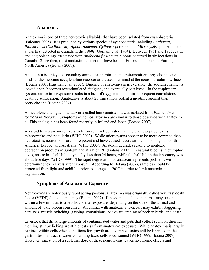#### **Anatoxin-a**

Anatoxin-a is one of three neurotoxic alkaloids that have been isolated from cyanobacteria (Falconer 2005). It is produced by various species of cyanobacteria including *Anabaena*, *Planktothrix* (*Oscillatoria*), *Aphanizomenon*, *Cylindrospermum,* and *Microcystis* spp. Anatoxina was first detected in Canada in the 1960s (Gorham et al. 1964). Between 1961 and 1975, cattle and dog poisonings associated with *Anabaena flos-aquae* blooms occurred in six locations in Canada. Since then, most anatoxin-a detections have been in Europe, and, outside Europe, in North America (Botana 2007).

Anatoxin-a is a bicyclic secondary amine that mimics the neurotransmitter acetylcholine and binds to the nicotinic acetylcholine receptor at the axon terminal at the neuromuscular interface (Botana 2007, Huisman et al. 2005). Binding of anatoxin-a is irreversible; the sodium channel is locked open, becomes overstimulated, fatigued, and eventually paralyzed. In the respiratory system, anatoxin-a exposure results in a lack of oxygen to the brain, subsequent convulsions, and death by suffocation. Anatoxin-a is about 20 times more potent a nicotinic agonist than acetylcholine (Botana 2007).

A methylene analogue of anatoxin-a called homoanatoxin-a was isolated from *Planktothrix formosa* in Norway. Symptoms of homoanatoxin-a are similar to those observed with anatoxina. This analogue has been found recently in Ireland and Japan (Botana 2007).

Alkaloid toxins are more likely to be present in free water than the cyclic peptide toxins microcystins and nodularin (WHO 2003). While microcystins appear to be more common than neurotoxins, neurotoxins are more potent and have caused severe animal poisonings in North America, Europe, and Australia (WHO 2003). Anatoxin degrades readily to nontoxic degradation products in sunlight and at a high PH (Botana 2007). In natural blooms in eutrophic lakes, anatoxin-a half-life is typically less than 24 hours, while the half-life in the laboratory was about five days (WHO 1999). The rapid degradation of anatoxin-a presents problems with determining toxin levels after exposure. According to Botana (2007), samples should be protected from light and acidified prior to storage at -20 $^{\circ}$ C in order to limit anatoxin-a degradation.

#### **Symptoms of Anatoxin-a Exposure**

Neurotoxins are notoriously rapid acting poisons; anatoxin-a was originally called very fast death factor (VFDF) due to its potency (Botana 2007). Illness and death to an animal may occur within a few minutes to a few hours after exposure, depending on the size of the animal and amount of toxic bloom consumed. An animal with anatoxin-a toxicosis may exhibit staggering, paralysis, muscle twitching, gasping, convulsions, backward arching of neck in birds, and death.

Livestock that drink large amounts of contaminated water and pets that collect scum on their fur then ingest it by licking are at highest risk from anatoxin-a exposure. While anatoxin-a is largely retained within cells when conditions for growth are favorable, toxins will be liberated in the gastrointestinal tract if water containing toxic cells is consumed (WHO 1999, Botana 2007). However, ingestion of a sublethal dose of these neurotoxins leaves no chronic effects and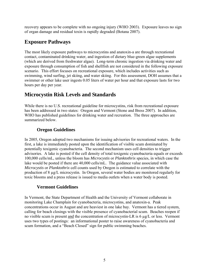<span id="page-10-0"></span>recovery appears to be complete with no ongoing injury (WHO 2003). Exposure leaves no sign of organ damage and residual toxin is rapidly degraded (Botana 2007).

## **Exposure Pathways**

The most likely exposure pathways to microcystins and anatoxin-a are through recreational contact, contaminated drinking water, and ingestion of dietary blue-green algae supplements (which are derived from freshwater algae). Long-term chronic ingestion via drinking water and exposure through consumption of fish and shellfish are not considered in the following exposure scenario. This effort focuses on recreational exposure, which includes activities such as swimming, wind surfing, jet skiing, and water skiing. For this assessment, DOH assumes that a swimmer or other lake user ingests 0.05 liters of water per hour and that exposure lasts for two hours per day per year.

## **Microcystin Risk Levels and Standards**

While there is no U.S. recreational guideline for microcystins, risk from recreational exposure has been addressed in two states: Oregon and Vermont (Stone and Bress 2007). In addition, WHO has published guidelines for drinking water and recreation. The three approaches are summarized below.

### **Oregon Guidelines**

In 2005, Oregon adopted two mechanisms for issuing advisories for recreational waters. In the first, a lake is immediately posted upon the identification of visible scum dominated by potentially toxigenic cyanobacteria. The second mechanism uses cell densities to trigger advisories. A lake is posted if the cell density of total toxigenic cyanobacteria equals or exceeds 100,000 cells/mL, unless the bloom has *Microcystis* or *Planktothrix* species, in which case the lake would be posted if there are 40,000 cells/mL. The guidance value associated with *Microcystis* or *Planktothrix* cell counts used by Oregon is estimated to correlate with the production of 8 µg/L microcystin. In Oregon, several water bodies are monitored regularly for toxic blooms and a press release is issued to media outlets when a water body is posted.

## **Vermont Guidelines**

In Vermont, the State Department of Health and the University of Vermont collaborate in monitoring Lake Champlain for cyanobacteria, microcystins, and anatoxin-a. Peak concentrations occur in August and are heaviest in one lake bay. Vermont has a tiered system, calling for beach closings with the visible presence of cyanobacterial scum. Beaches reopen if no visible scum is present and the concentration of microcystin-LR is 6 µg/L or less. Vermont uses two types of postings: an informational poster to raise awareness of cyanobacteria and scum formation, and a "Beach Closed" sign for public swimming beaches.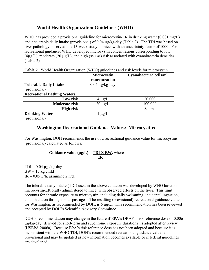#### **World Health Organization Guidelines (WHO)**

<span id="page-11-0"></span>WHO has provided a provisional guideline for microcystin-LR in drinking water (0.001 mg/L) and a tolerable daily intake (provisional) of 0.04 µg/kg-day (Table 2). The TDI was based on liver pathology observed in a 13-week study in mice, with an uncertainty factor of 1000. For recreational guidance, WHO developed microcystin concentrations corresponding to low  $(4\mu g/L)$ , moderate  $(20 \mu g/L)$ , and high (scums) risk associated with cyanobacteria densities (Table 2).

|                                    | <b>Microcystin</b><br>concentration | Cyanobacteria cells/ml |
|------------------------------------|-------------------------------------|------------------------|
| <b>Tolerable Daily Intake</b>      | $0.04 \mu g/kg$ -day                |                        |
| (provisional)                      |                                     |                        |
| <b>Recreational Bathing Waters</b> |                                     |                        |
| Low risk                           | $4 \mu g/L$                         | 20,000                 |
| Moderate risk                      | $20 \mu g/L$                        | 100,000                |
| High risk                          |                                     | <b>Scums</b>           |
| <b>Drinking Water</b>              | $1 \mu g/L$                         |                        |
| (provisional)                      |                                     |                        |

|  |  |  |  | Table 2. World Health Organization (WHO) guidelines and risk levels for microcystin. |  |  |  |  |
|--|--|--|--|--------------------------------------------------------------------------------------|--|--|--|--|
|--|--|--|--|--------------------------------------------------------------------------------------|--|--|--|--|

#### **Washington Recreational Guidance Values: Microcystins**

For Washington, DOH recommends the use of a recreational guidance value for microcystins (provisional) calculated as follows:

**Guidance value (** $\mu g/L$ **) = TDI X BW,** where  **IR** 

 $TDI = 0.04 \mu g/kg$ -day  $BW = 15$  kg child  $IR = 0.05$  L/h, assuming 2 h/d.

The tolerable daily intake (TDI) used in the above equation was developed by WHO based on microcystin-LR orally administered to mice, with observed effects on the liver. This limit accounts for chronic exposure to microcystin, including daily swimming, incidental ingestion, and inhalation through sinus passages. The resulting (provisional) recreational guidance value for Washington, as recommended by DOH, is 6 µg/L. This recommendation has been reviewed and accepted by DOH's Scientific Advisory Committee.

DOH's recommendation may change in the future if EPA's DRAFT risk reference dose of 0.006 µg/kg-day (derived for short-term and subchronic exposure durations) is adopted after review (USEPA 2006a). Because EPA's risk reference dose has not been adopted and because it is inconsistent with the WHO TDI, DOH's recommended recreational guidance value is provisional and may be updated as new information becomes available or if federal guidelines are developed.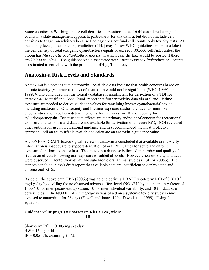Some counties in Washington use cell densities to monitor lakes. DOH considered using cell counts in a state management approach, particularly for anatoxin-a, but did not include cell densities to trigger an advisory because Ecology does not fund cell counts, only toxicity tests. At the county level, a local health jurisdiction (LHJ) may follow WHO guidelines and post a lake if the cell density of total toxigenic cyanobacteria equals or exceeds 100,000 cells/mL, unless the bloom has *Microcystis* or *Planktothrix* species, in which case the lake would be posted if there are 20,000 cells/mL. The guidance value associated with *Microcystis* or *Planktothrix* cell counts is estimated to correlate with the production of  $4 \mu g/L$  microcystin.

## **Anatoxin-a Risk Levels and Standards**

Anatoxin-a is a potent acute neurotoxin. Available data indicate that health concerns based on chronic toxicity (vs. acute toxicity) of anatoxin-a would not be significant (WHO 1999). In 1999, WHO concluded that the toxicity database is insufficient for derivation of a TDI for anatoxin-a. Metcalf and Codd (2004) report that further toxicity data via oral and lifetime exposure are needed to derive guidance values for remaining known cyanobacterial toxins, including anatoxin-a. Oral toxicity and lifetime-exposure studies are ideal to minimize uncertainties and have been determined only for microcystin-LR and recently for cylindrospermopsin. Because acute effects are the primary endpoint of concern for recreational exposure to anatoxin-a and data are not available for derivation of an acute RfD, DOH reviewed other options for use in recreational guidance and has recommended the most protective approach until an acute RfD is available to calculate an anatoxin-a guidance value.

A 2006 EPA DRAFT toxicological review of anatoxin-a concluded that available oral toxicity information is inadequate to support derivation of oral RfD values for acute and chronic exposure durations to anatoxin-a. The anatoxin-a database is limited in number and quality of studies on effects following oral exposure to sublethal levels. However, neurotoxicity and death were observed in acute, short-term, and subchronic oral animal studies (USEPA 2006b). The authors conclude in their draft report that available data are insufficient to derive acute and chronic oral RfDs.

Based on the above data, EPA (2006b) was able to derive a DRAFT short-term RfD of 3 X  $10^{-3}$ mg/kg-day by dividing the no observed adverse effect level (NOAEL) by an uncertainty factor of 1000 (10 for interspecies extrapolation, 10 for interindividual variability, and 10 for database deficiencies). The NOAEL of 2.5 mg/kg-day was based on a systemic toxicity study in mice exposed to anatoxin-a for 28 days (Fawell and James 1994, Fawell et al. 1999). Using the equation:

#### **Guidance value (mg/L) = Short-term RfD X BW,** where **IR** IR

Short-term  $RfD = 0.003$  mg /kg-day  $BW = 15$  kg child  $IR = 0.05$  L/h, assuming 2 h/d.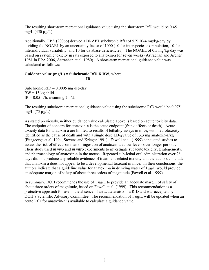The resulting short-term recreational guidance value using the short-term RfD would be 0.45 mg/L  $(450 \mu g/L)$ .

Additionally, EPA (2006b) derived a DRAFT subchronic RfD of 5 X 10-4 mg/kg-day by dividing the NOAEL by an uncertainty factor of 1000 (10 for interspecies extrapolation, 10 for interindividual variability, and 10 for database deficiencies). The NOAEL of 0.5 mg/kg-day was based on systemic toxicity in rats exposed to anatoxin-a for seven weeks (Astrachan and Archer 1981 in EPA 2006, Astrachan et al. 1980).A short-term recreational guidance value was calculated as follows:

#### **Guidance value (mg/L) = Subchronic RfD X BW,** where **IR** IR

Subchronic RfD =  $0.0005$  mg/kg-day  $BW = 15$  kg child  $IR = 0.05$  L/h, assuming 2 h/d.

The resulting subchronic recreational guidance value using the subchronic RfD would be 0.075 mg/L  $(75 \mu g/L)$ .

As stated previously, neither guidance value calculated above is based on acute toxicity data. The endpoint of concern for anatoxin-a is the acute endpoint (frank effects or death).Acute toxicity data for anatoxin-a are limited to results of lethality assays in mice, with neurotoxicity identified as the cause of death and with a single dose  $LD_{50}$  value of 13.3 mg anatoxin-a/kg (Fitzgeorge et al, 1994, Stevens and Krieger 1991). Fawell et al. (1999) conducted studies to assess the risk of effects on man of ingestion of anatoxin-a at low levels over longer periods. Their study used *in vivo* and *in vitro* experiments to investigate subacute toxicity, teratogenicity, and pharmacology of anatoxin-a in the mouse. Repeated sub-lethal oral administration over 28 days did not produce any reliable evidence of treatment-related toxicity and the authors conclude that anatoxin-a does not appear to be a developmental toxicant in mice. In their conclusions, the authors indicate that a guideline value for anatoxin-a in drinking water of 1µg/L would provide an adequate margin of safety of about three orders of magnitude (Fawell et al. 1999).

In summary, DOH recommends the use of 1 ug/L to provide an adequate margin of safety of about three orders of magnitude, based on Fawell et al. (1999). This recommendation is a protective approach for use in the absence of an acute anatoxin-a RfD and was accepted by DOH's Scientific Advisory Committee. The recommendation of 1 ug/L will be updated when an acute RfD for anatoxin-a is available to calculate a guidance value.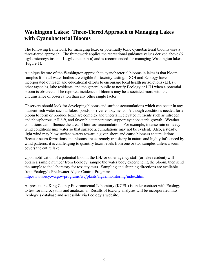## <span id="page-14-0"></span>**Washington Lakes: Three-Tiered Approach to Managing Lakes with Cyanobacterial Blooms**

The following framework for managing toxic or potentially toxic cyanobacterial blooms uses a three-tiered approach. The framework applies the recreational guidance values derived above (6  $\mu$ g/L microcystins and 1  $\mu$ g/L anatoxin-a) and is recommended for managing Washington lakes (Figure 1).

A unique feature of the Washington approach to cyanobacterial blooms in lakes is that bloom samples from all water bodies are eligible for toxicity testing. DOH and Ecology have incorporated outreach and educational efforts to encourage local health jurisdictions (LHJs), other agencies, lake residents, and the general public to notify Ecology or LHJ when a potential bloom is observed. The reported incidence of blooms may be associated more with the circumstance of observation than any other single factor.

Observers should look for developing blooms and surface accumulations which can occur in any nutrient-rich water such as lakes, ponds, or river embayments. Although conditions needed for a bloom to form or produce toxin are complex and uncertain, elevated nutrients such as nitrogen and phosphorous, pH 6-9, and favorable temperatures support cyanobacteria growth. Weather conditions can influence the area of biomass accumulation. For example, intense rain or heavy wind conditions mix water so that surface accumulations may not be evident. Also, a steady, light wind may blow surface waters toward a given shore and cause biomass accumulations. Because scum formations and blooms are extremely transitory in nature and highly influenced by wind patterns, it is challenging to quantify toxin levels from one or two samples unless a scum covers the entire lake.

Upon notification of a potential bloom, the LHJ or other agency staff (or lake resident) will obtain a sample number from Ecology, sample the water body experiencing the bloom, then send the sample to the laboratory for toxicity tests. Sampling and shipping directions are available from Ecology's Freshwater Algae Control Program:

<http://www.ecy.wa.gov/programs/wq/plants/algae/monitoring/index.html>.

At present the King County Environmental Laboratory (KCEL) is under contract with Ecology to test for microcystins and anatoxin-a. Results of toxicity analyses will be incorporated into Ecology's database and accessible via Ecology's website.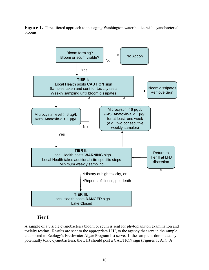**Figure 1.** Three-tiered approach to managing Washington water bodies with cyanobacterial blooms.



#### **Tier I**

A sample of a visible cyanobacteria bloom or scum is sent for phytoplankton examination and toxicity testing. Results are sent to the appropriate LHJ, to the agency that sent in the sample, and posted to Ecology's Freshwater Algae Program list serve. If the sample is dominated by potentially toxic cyanobacteria, the LHJ should post a CAUTION sign (Figures 1, A1). A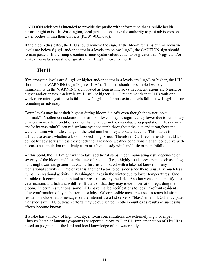CAUTION advisory is intended to provide the public with information that a public health hazard might exist. In Washington, local jurisdictions have the authority to post advisories on water bodies within their districts (RCW 70.05.070).

If the bloom dissipates, the LHJ should remove the sign. If the bloom remains but microcystin levels are below 6 µg/L and/or anatoxin-a levels are below 1 µg/L, the CAUTION sign should remain posted. If the sample contains microcystin values equal to or greater than 6 µg/L and/or anatoxin-a values equal to or greater than 1 µg/L, move to Tier II.

#### **Tier II**

If microcystin levels are 6  $\mu$ g/L or higher and/or anatoxin-a levels are 1  $\mu$ g/L or higher, the LHJ should post a WARNING sign (Figures 1, A2). The lake should be sampled weekly, at a minimum, with the WARNING sign posted as long as microcystin concentrations are 6 µg/L or higher and/or anatoxin-a levels are 1  $\mu$ g/L or higher. DOH recommends that LHJs wait one week once microcystin levels fall below 6 µg/L and/or anatoxin-a levels fall below 1 µg/L before retracting an advisory.

Toxin levels may be at their highest during bloom die-offs even though the water looks "normal." Another consideration is that toxin levels may be significantly lower due to temporary changes in weather conditions rather than changes in the cyanobacteria population. Heavy wind and/or intense rainfall can redistribute cyanobacteria throughout the lake and throughout the water column with little change in the total number of cyanobacteria cells. This makes it difficult to assess whether a bloom is declining or not. Therefore, DOH recommends that LHJs do not lift advisories unless they check the lake under weather conditions that are conducive with biomass accumulation (relatively calm or a light steady wind and little or no rainfall).

At this point, the LHJ might want to take additional steps in communicating risk, depending on severity of the bloom and historical use of the lake (i.e., a highly used access point such as a dog park might warrant greater outreach efforts as compared with a lake not known for any recreational activity). Time of year is another factor to consider since there is usually much less human recreational activity in Washington lakes in the winter due to lower temperatures. One possible risk communication tool is a press release by the LHJ. Another would be to notify local veterinarians and fish and wildlife officials so that they may issue information regarding the bloom. In certain situations, some LHJs have mailed notifications to local lakefront residents after confirmation of cyanobacterial toxicity. Other possible measures used to reach lakefront residents include radio messages or the internet via a list serve or "blast" email. DOH anticipates that successful LHJ outreach efforts may be duplicated in other counties as results of successful efforts become known.

If a lake has a history of high toxicity, if toxin concentrations are extremely high, or if pet illnesses/death or human symptoms are reported, move to Tier III. Implementation of Tier III is based on judgment of the LHJ and local knowledge of the water body.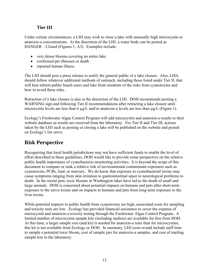### **Tier III**

<span id="page-17-0"></span>Under certain circumstances, a LHJ may wish to close a lake with unusually high microcystin or anatoxin-a concentrations. At the discretion of the LHJ, a water body can be posted as DANGER – Closed (Figures 1, A3). Examples include:

- very dense blooms covering an entire lake
- confirmed pet illnesses or death
- reported human illness.

The LHJ should post a press release to notify the general public of a lake closure. Also, LHJs should follow whatever additional methods of outreach, including those listed under Tier II, that will best inform public beach users and lake front residents of the risks from cyanotoxins and how to avoid these risks.

Retraction of a lake closure is also at the discretion of the LHJ. DOH recommends posting a WARNING sign and following Tier II recommendations after retracting a lake closure until microcystin levels are less than 6 µg/L and/or anatoxin-a levels are less than µg/L (Figure 1).

Ecology's Freshwater Algae Control Program will add microcystin and anatoxin-a results to their website database as results are received from the laboratory. For Tier II and Tier III, actions taken by the LHJ such as posting or closing a lake will be published on the website and posted on Ecology's list serve.

## **Risk Perspective**

Recognizing that local health jurisdictions may not have sufficient funds to enable the level of effort described in these guidelines, DOH would like to provide some perspective on the relative public health importance of cyanobacteria monitoring activities. It is beyond the scope of this document to compare or rank a relative risk of environmental contaminant exposures such as cyanotoxins, PCBs, lead, or mercury. We do know that exposure to cyanobacterial toxins may cause symptoms ranging from skin irritation to gastrointestinal upset to neurological problems to death. In the recent past, toxic blooms in Washington lakes have led to the death of small and large animals. DOH is concerned about potential impacts on humans and pets after short-term exposure to the nerve toxins and on impacts to humans and pets from long-term exposure to the liver toxins.

While potential impacts to public health from cyanotoxins are high, associated costs for sampling and toxicity tests are low. Ecology has provided financial assistance to cover the expense of microcystin and anatoxin-a toxicity testing through the Freshwater Algae Control Program. A limited number of microcystin sample kits (including mailers) are available for free from DOH. At this time, a larger sample size (and kit) is needed for anatoxin-a tests than for microcystins; this kit is not available from Ecology or DOH. In summary, LHJ costs would include staff time to sample a potential toxic bloom, cost of sample jars for anatoxin-a samples, and cost of mailing sample kits to the laboratory.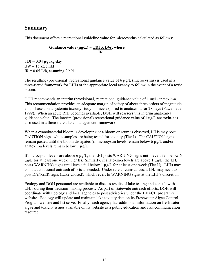## <span id="page-18-0"></span>**Summary**

This document offers a recreational guideline value for microcystins calculated as follows:

#### Guidance value  $(\mu g/L) = \underline{TDI} \times \underline{BW}$ , where  **IR**

 $TDI = 0.04 \mu g/kg$ -day  $BW = 15$  kg child  $IR = 0.05$  L/h, assuming 2 h/d.

The resulting (provisional) recreational guidance value of  $6 \mu g/L$  (microcystins) is used in a three-tiered framework for LHJs or the appropriate local agency to follow in the event of a toxic bloom.

DOH recommends an interim (provisional) recreational guidance value of 1 ug/L anatoxin-a. This recommendation provides an adequate margin of safety of about three orders of magnitude and is based on a systemic toxicity study in mice exposed to anatoxin-a for 28 days (Fawell et al. 1999). When an acute RfD becomes available, DOH will reassess this interim anatoxin-a guidance value. The interim (provisional) recreational guidance value of 1 ug/L anatoxin-a is also used in a three-tiered lake management framework.

When a cyanobacterial bloom is developing or a bloom or scum is observed, LHJs may post CAUTION signs while samples are being tested for toxicity (Tier I). The CAUTION signs remain posted until the bloom dissipates (if microcystin levels remain below 6 µg/L and/or anatoxin-a levels remain below 1  $\mu$ g/L).

If microcystin levels are above 6 µg/L, the LHJ posts WARNING signs until levels fall below 6  $\mu$ g/L for at least one week (Tier II). Similarly, if anatoxin-a levels are above 1  $\mu$ g/L, the LHJ posts WARNING signs until levels fall below 1 µg/L for at least one week (Tier II). LHJs may conduct additional outreach efforts as needed. Under rare circumstances, a LHJ may need to post DANGER signs (Lake Closed), which revert to WARNING signs at the LHJ's discretion.

Ecology and DOH personnel are available to discuss results of lake testing and consult with LHJs during their decision-making process. As part of statewide outreach efforts, DOH will coordinate with Ecology and local agencies to post advisories under the BEACH program's website. Ecology will update and maintain lake toxicity data on its Freshwater Algae Control Program website and list serve. Finally, each agency has additional information on freshwater algae and toxicity issues available on its website as a public education and risk communication resource.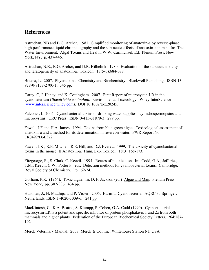### <span id="page-19-0"></span>**References**

Astrachan, NB and B.G. Archer. 1981. Simplified monitoring of anatoxin-a by reverse-phase high performance liquid chromatography and the sub-acute effects of anatoxin-a in rats. In: The Water Environment: Algal Toxins and Health, W.W. Carmichael, Ed. Plenum Press, New York, NY. p. 437-446.

Astrachan, N.B., B.G. Archer, and D.R. Hilbelink. 1980. Evaluation of the subacute toxicity and teratogenicity of anatoxin-a. Toxicon. 18(5-6):684-688.

Botana, L. 2007. Phycotoxins. Chemistry and Biochemistry. Blackwell Publishing. ISBN-13: 978-0-8138-2700-1. 345 pp.

Carey, C, J. Haney, and K. Cottingham. 2007. First Report of microcystin-LR in the cyanobaterium *Gloeotrichia echinulata*. Environmental Toxicology. Wiley InterScience ([www.interscience.wiley.com\)](http://www.interscience.wiley.com/). DOI 10.1002/tox.20245.

Falconer, I. 2005. Cyanobacterial toxins of drinking water supplies: cylindrospermopsins and microcystins. CRC Press. ISBN 0-415-31879-3. 279 pp.

Fawell, J.F and H.A. James. 1994. Toxins from blue-green algae: Toxicological assessment of anatoxin-a and a method for its determination in reservoir water. FWR Report No. FR0492/DoE372.

Fawell, J.K., R.E. Mitchell, R.E. Hill, and D.J. Everett. 1999. The toxicity of cyanobacterial toxins in the mouse: II Anatoxin-a. Hum. Exp. Toxicol. 18(3):168-173.

Fitzgeorge, R., S. Clark, C. Keevil. 1994. Routes of intoxication. In: Codd, G.A., Jefferies, T.M., Keevil, C.W., Potter P., eds. Detection methods for cyanobacterial toxins. Cambridge, Royal Society of Chemistry. Pp. 69-74.

Gorham, P.R. (1964). Toxic algae. In: D. F. Jackson (ed.) Algae and Man. Plenum Press: New York, pp. 307-336. 434 pp.

Huisman, J., H. Matthijs, and P. Visser. 2005. Harmful Cyanobacteria. AQEC 3. Springer. Netherlands. ISBN 1-4020-3009-6. 241 pp

MacKintosh, C., K.A. Beattie, S. Klumpp, P. Cohen, G.A. Codd (1990). Cyanobacterial microcystin-LR is a potent and specific inhibitor of protein phosphatases 1 and 2a from both mammals and higher plants. Federation of the European Biochemical Society Letters. 264:187- 192.

Merck Veterinary Manual. 2008. [Merck & Co., Inc.](http://www.merckveterinarymanual.com/mvm/htm/present/mvm_mercklink.htm) Whitehouse Station NJ, USA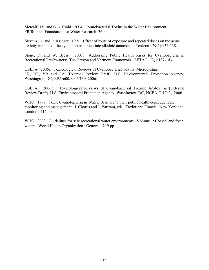Metcalf, J.S. and G.A. Codd. 2004. Cyanobacterial Toxins in the Water Environment. FR/R0009. Foundation for Water Research. 36 pp.

Stevens, D, and R. Krieger. 1991. Effect of route of exposure and repeated doses on the acute toxicity in mice of the cyanobacterial nicotinic alkaloid anatoxin-a. Toxicon. 29(1):134-138.

Stone, D. and W. Bress. 2007. Addressing Public Health Risks for Cyanobacteria in Recreational Freshwaters: The Oregon and Vermont Framework. SETAC. (3)1:137-143.

USEPA. 2006a. Toxicological Reviews of Cyanobacterial Toxins: Microcystins LR, RR, YR and LA (External Review Draft). U.S. Environmental Protection Agency, Washington, DC, EPA/600/R-06/139, 2006.

USEPA. 2006b. Toxicological Reviews of Cyanobacterial Toxins: Anatoxin-a (External Review Draft). U.S. Environmental Protection Agency, Washington, DC, NCEA-C-1743, 2006.

WHO. 1999. Toxic Cyanobacteria in Water. A guide to their public health consequences, monitoring and management. I. Chorus and J. Bartram, eds. Taylor and Francis. New York and London. 416 pp.

WHO. 2003. Guidelines for safe recreational water environments. Volume 1: Coastal and fresh waters. World Health Organization. Geneva. 219 pp.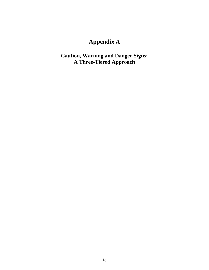# **Appendix A**

<span id="page-21-0"></span>**Caution, Warning and Danger Signs: A Three-Tiered Approach**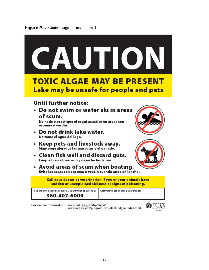



For more information: www.doh.wa.gov/ehp/algae/ www.ecy.wa.gov/programs/wq/plants/algae/index.html

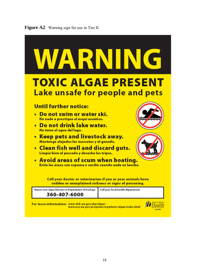